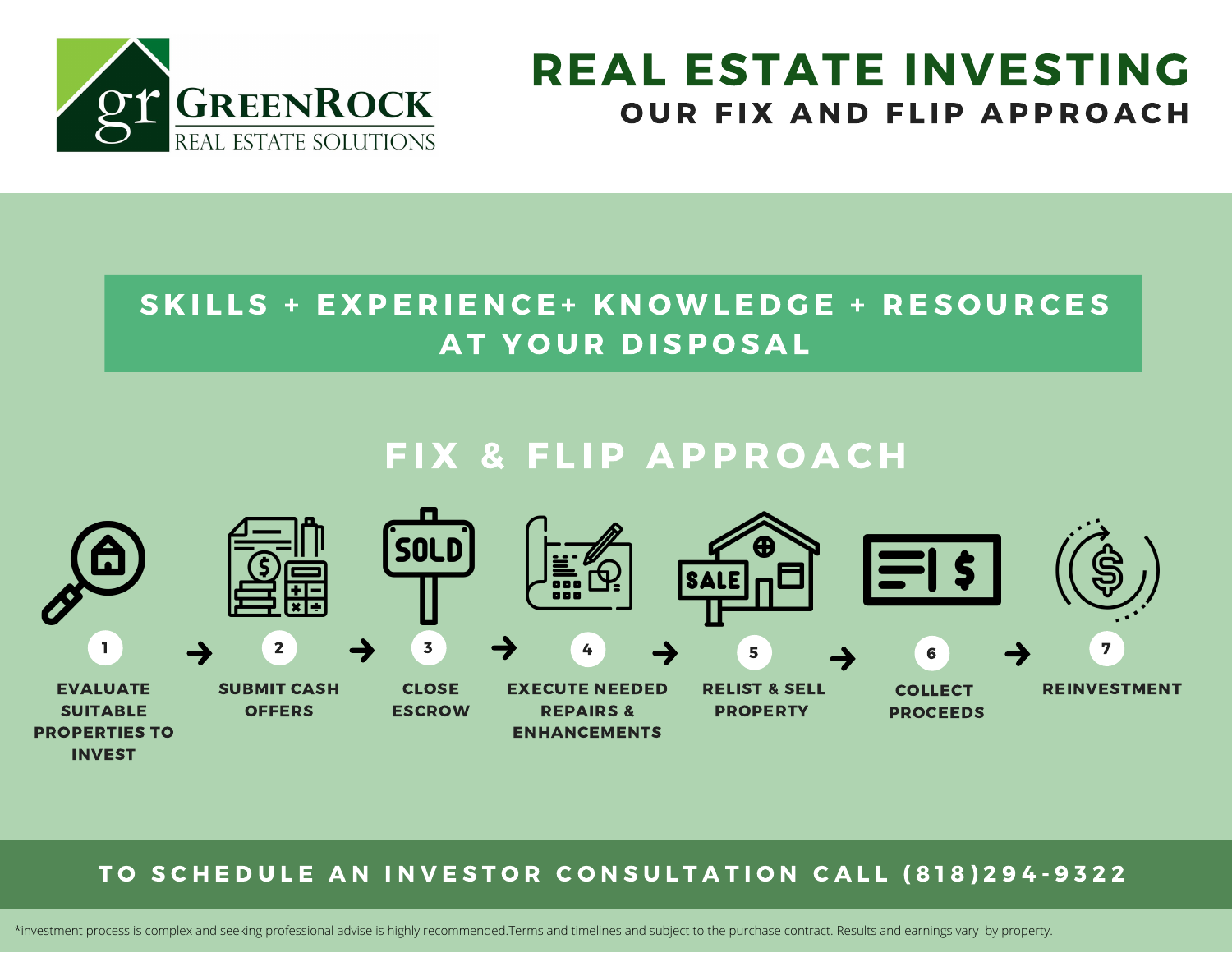

# REAL ESTATE INVESTING OUR FIX AND FLIP APPROACH

### SKILLS + EXPERIENCE+ KNOWLEDGE + RESOURCES AT YOUR DISPOSAL

## FIX & FLIP APPROACH



#### TO SCHEDULE AN INVESTOR CONSULTATION CALL (818)294-9322

\*investment process is complex and seeking professional advise is highly recommended.Terms and timelines and subject to the purchase contract. Results and earnings vary by property.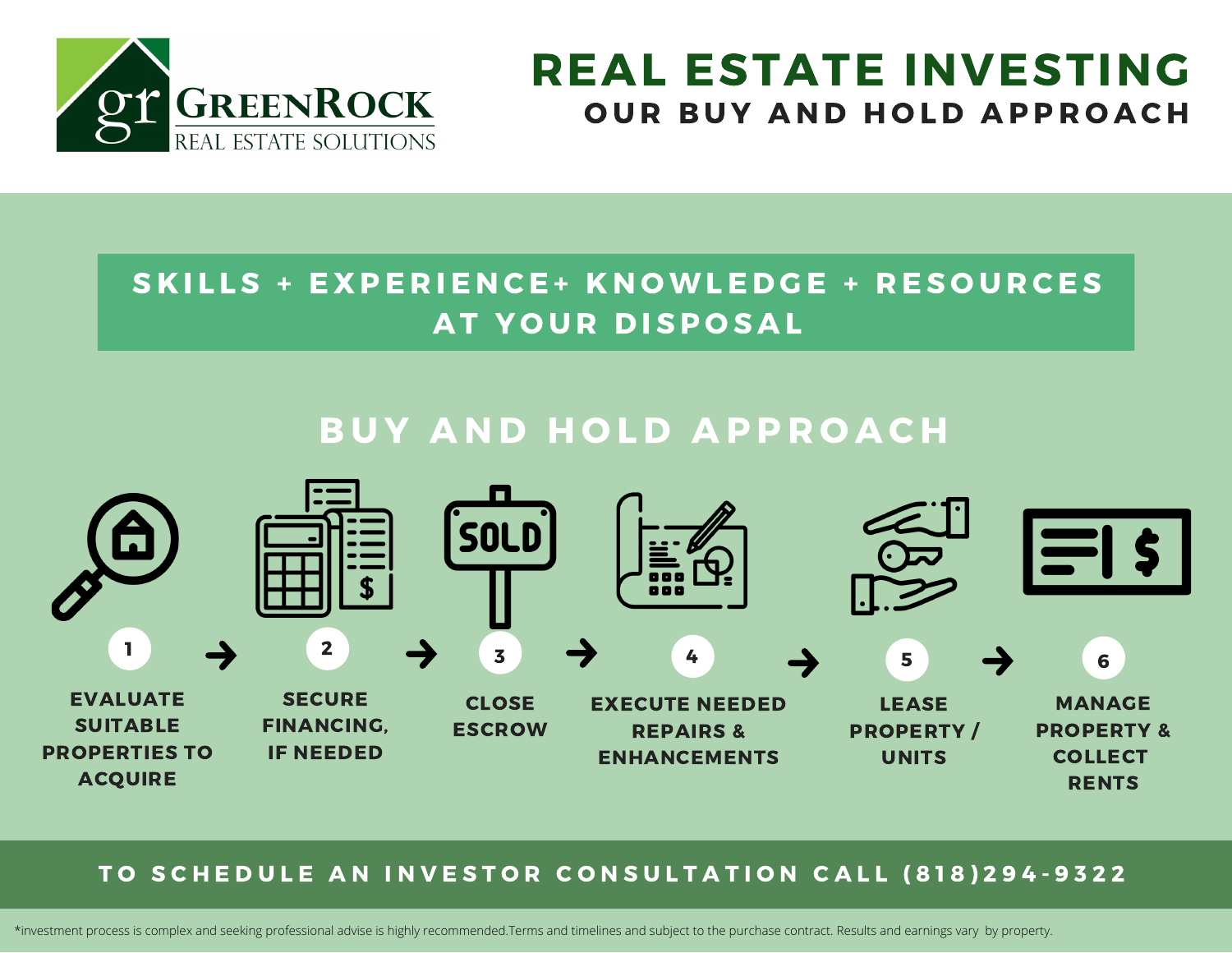

# REAL ESTATE INVESTING OUR BUY AND HOLD APPROACH

### SKILLS + EXPERIENCE+ KNOWLEDGE + RESOURCES AT YOUR DISPOSAL

## **BUY AND HOLD APPROACH**



#### TO SCHEDULE AN INVESTOR CONSULTATION CALL (818)294-9322